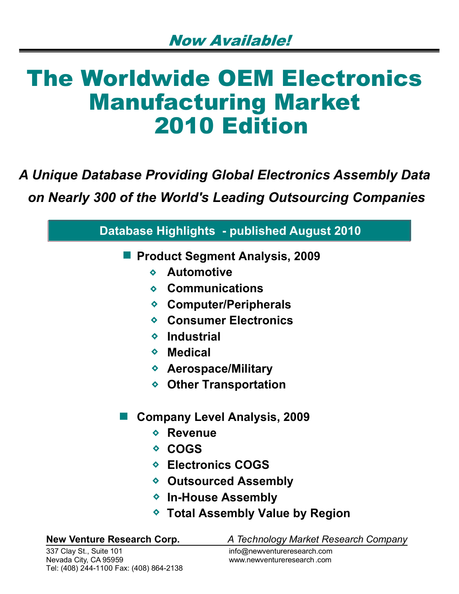# The Worldwide OEM Electronics Manufacturing Market 2010 Edition

# *A Unique Database Providing Global Electronics Assembly Data*

 *on Nearly 300 of the World's Leading Outsourcing Companies*

| <b>Database Highlights - published August 2010</b>                        |  |  |
|---------------------------------------------------------------------------|--|--|
| <b>Product Segment Analysis, 2009</b>                                     |  |  |
| <b>Automotive</b><br>$\bullet$                                            |  |  |
| $\diamond$ Communications                                                 |  |  |
| ♦ Computer/Peripherals                                                    |  |  |
| ◆ Consumer Electronics                                                    |  |  |
| ◆ Industrial                                                              |  |  |
| $\diamond$ Medical                                                        |  |  |
| ◆ Aerospace/Military                                                      |  |  |
| ◆ Other Transportation                                                    |  |  |
| <b>Company Level Analysis, 2009</b>                                       |  |  |
| <b>Revenue</b><br>$\bullet$                                               |  |  |
| ◇ COGS                                                                    |  |  |
| ◆ Electronics COGS                                                        |  |  |
| ◆ Outsourced Assembly                                                     |  |  |
| ◆ In-House Assembly                                                       |  |  |
| ◆ Total Assembly Value by Region                                          |  |  |
| <b>New Venture Research Corp.</b><br>A Technology Market Research Company |  |  |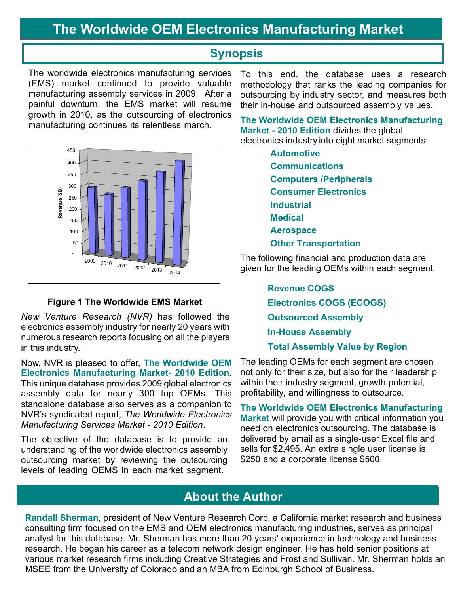# **The Worldwide OEM Electronics Manufacturing Market**

### **Synopsis**

The worldwide electronics manufacturing services (EMS) market continued to provide valuable manufacturing assembly services in 2009. After a painful downturn, the EMS market will resume growth in 2010, as the outsourcing of electronics manufacturing continues its relentless march.



#### **Figure 1 The Worldwide EMS Market**

*New Venture Research (NVR)* has followed the electronics assembly industry for nearly 20 years with numerous research reports focusing on all the players in this industry.

Now, NVR is pleased to offer, **The Worldwide OEM Electronics Manufacturing Market- 2010 Edition**. This unique database provides 2009 global electronics assembly data for nearly 300 top OEMs. This standalone database also serves as a companion to NVR's syndicated report, *The Worldwide Electronics Manufacturing Services Market - 2010 Edition*.

The objective of the database is to provide an understanding of the worldwide electronics assembly outsourcing market by reviewing the outsourcing levels of leading OEMS in each market segment.

To this end, the database uses a research methodology that ranks the leading companies for outsourcing by industry sector, and measures both their in-house and outsourced assembly values.

**The Worldwide OEM Electronics Manufacturing Market - 2010 Edition** divides the global electronics industry into eight market segments:

> **Automotive Communications Computers /Peripherals Consumer Electronics Industrial Medical Aerospace Other Transportation**

The following financial and production data are given for the leading OEMs within each segment.

> **Revenue COGS Electronics COGS (ECOGS) Outsourced Assembly In-House Assembly**

 **Total Assembly Value by Region** 

The leading OEMs for each segment are chosen not only for their size, but also for their leadership within their industry segment, growth potential, profitability, and willingness to outsource.

**The Worldwide OEM Electronics Manufacturing Market** will provide you with critical information you need on electronics outsourcing. The database is delivered by email as a single-user Excel file and sells for \$2,495. An extra single user license is \$250 and a corporate license \$500.

### **About the Author**

**Randall Sherman**, president of New Venture Research Corp. a California market research and business consulting firm focused on the EMS and OEM electronics manufacturing industries, serves as principal analyst for this database. Mr. Sherman has more than 20 years' experience in technology and business research. He began his career as a telecom network design engineer. He has held senior positions at various market research firms including Creative Strategies and Frost and Sullivan. Mr. Sherman holds an MSEE from the University of Colorado and an MBA from Edinburgh School of Business.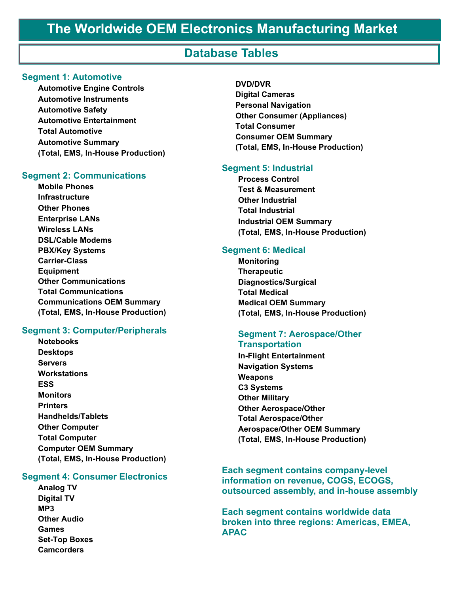# **The Worldwide OEM Electronics Manufacturing Market**

### **Database Tables**

#### **Segment 1: Automotive**

**Automotive Engine Controls Automotive Instruments Automotive Safety Automotive Entertainment Total Automotive Automotive Summary (Total, EMS, In-House Production)**

#### **Segment 2: Communications**

**Mobile Phones Infrastructure Other Phones Enterprise LANs Wireless LANs DSL/Cable Modems PBX/Key Systems Carrier-Class Equipment Other Communications Total Communications Communications OEM Summary (Total, EMS, In-House Production)**

#### **Segment 3: Computer/Peripherals**

**Notebooks Desktops Servers Workstations ESS Monitors Printers Handhelds/Tablets Other Computer Total Computer Computer OEM Summary (Total, EMS, In-House Production)**

#### **Segment 4: Consumer Electronics**

**Analog TV Digital TV MP3 Other Audio Games Set-Top Boxes Camcorders** 

#### **DVD/DVR Digital Cameras Personal Navigation Other Consumer (Appliances) Total Consumer Consumer OEM Summary (Total, EMS, In-House Production)**

#### **Segment 5: Industrial**

**Process Control Test & Measurement Other Industrial Total Industrial Industrial OEM Summary (Total, EMS, In-House Production)**

#### **Segment 6: Medical**

**Monitoring Therapeutic Diagnostics/Surgical Total Medical Medical OEM Summary (Total, EMS, In-House Production)**

#### **Segment 7: Aerospace/Other Transportation**

**In-Flight Entertainment Navigation Systems Weapons C3 Systems Other Military Other Aerospace/Other Total Aerospace/Other Aerospace/Other OEM Summary (Total, EMS, In-House Production)**

#### **Each segment contains company-level information on revenue, COGS, ECOGS, outsourced assembly, and in-house assembly**

**Each segment contains worldwide data broken into three regions: Americas, EMEA, APAC**